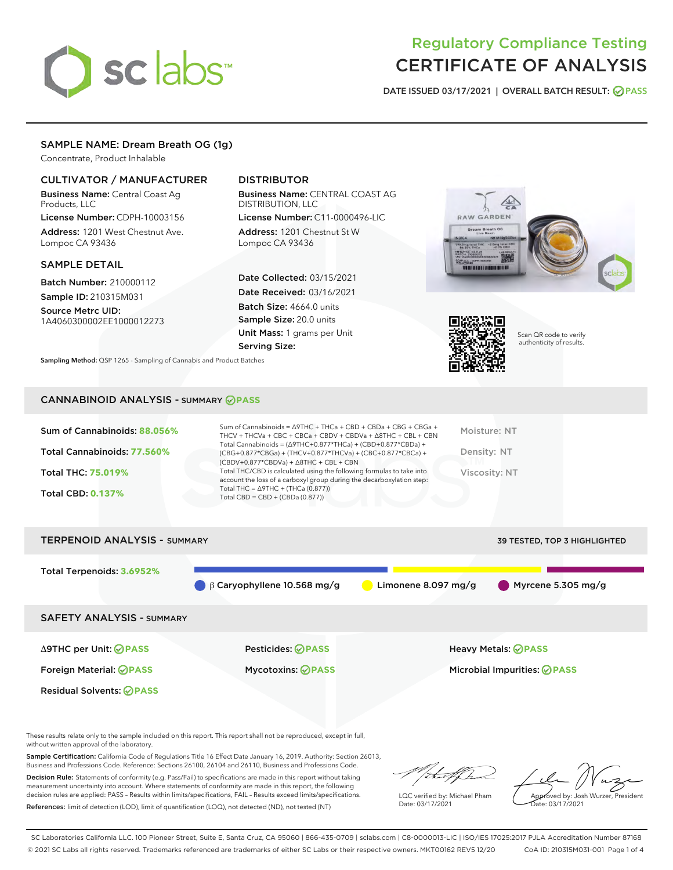# sclabs

# Regulatory Compliance Testing CERTIFICATE OF ANALYSIS

DATE ISSUED 03/17/2021 | OVERALL BATCH RESULT: @ PASS

# SAMPLE NAME: Dream Breath OG (1g)

Concentrate, Product Inhalable

# CULTIVATOR / MANUFACTURER

Business Name: Central Coast Ag Products, LLC

License Number: CDPH-10003156 Address: 1201 West Chestnut Ave. Lompoc CA 93436

#### SAMPLE DETAIL

Batch Number: 210000112 Sample ID: 210315M031

Source Metrc UID:

1A4060300002EE1000012273

# DISTRIBUTOR

Business Name: CENTRAL COAST AG DISTRIBUTION, LLC

License Number: C11-0000496-LIC Address: 1201 Chestnut St W Lompoc CA 93436

Date Collected: 03/15/2021 Date Received: 03/16/2021 Batch Size: 4664.0 units Sample Size: 20.0 units Unit Mass: 1 grams per Unit Serving Size:





Scan QR code to verify authenticity of results.

Sampling Method: QSP 1265 - Sampling of Cannabis and Product Batches

# CANNABINOID ANALYSIS - SUMMARY **PASS**

| Sum of Cannabinoids: 88.056%<br>Total Cannabinoids: 77.560%<br><b>Total THC: 75.019%</b><br><b>Total CBD: 0.137%</b> | Sum of Cannabinoids = $\triangle$ 9THC + THCa + CBD + CBDa + CBG + CBGa +<br>THCV + THCVa + CBC + CBCa + CBDV + CBDVa + $\Delta$ 8THC + CBL + CBN<br>Total Cannabinoids = $(\Delta$ 9THC+0.877*THCa) + (CBD+0.877*CBDa) +<br>(CBG+0.877*CBGa) + (THCV+0.877*THCVa) + (CBC+0.877*CBCa) +<br>$(CBDV+0.877*CBDVa) + \Delta 8THC + CBL + CBN$<br>Total THC/CBD is calculated using the following formulas to take into<br>account the loss of a carboxyl group during the decarboxylation step:<br>Total THC = $\triangle$ 9THC + (THCa (0.877))<br>Total CBD = $CBD + (CBDa (0.877))$ | Moisture: NT<br>Density: NT<br>Viscositv: NT |
|----------------------------------------------------------------------------------------------------------------------|------------------------------------------------------------------------------------------------------------------------------------------------------------------------------------------------------------------------------------------------------------------------------------------------------------------------------------------------------------------------------------------------------------------------------------------------------------------------------------------------------------------------------------------------------------------------------------|----------------------------------------------|
| <b>TERPENOID ANALYSIS - SUMMARY</b>                                                                                  |                                                                                                                                                                                                                                                                                                                                                                                                                                                                                                                                                                                    | 39 TESTED, TOP 3 HIGHLIGHTED                 |

Total Terpenoids: **3.6952%** β Caryophyllene 10.568 mg/g Limonene 8.097 mg/g Myrcene 5.305 mg/g SAFETY ANALYSIS - SUMMARY Δ9THC per Unit: **PASS** Pesticides: **PASS** Heavy Metals: **PASS** Foreign Material: **PASS** Mycotoxins: **PASS** Microbial Impurities: **PASS** Residual Solvents: **PASS** 

These results relate only to the sample included on this report. This report shall not be reproduced, except in full, without written approval of the laboratory.

Sample Certification: California Code of Regulations Title 16 Effect Date January 16, 2019. Authority: Section 26013, Business and Professions Code. Reference: Sections 26100, 26104 and 26110, Business and Professions Code.

Decision Rule: Statements of conformity (e.g. Pass/Fail) to specifications are made in this report without taking measurement uncertainty into account. Where statements of conformity are made in this report, the following decision rules are applied: PASS – Results within limits/specifications, FAIL – Results exceed limits/specifications. References: limit of detection (LOD), limit of quantification (LOQ), not detected (ND), not tested (NT)

that f Tr

LQC verified by: Michael Pham Date: 03/17/2021

Approved by: Josh Wurzer, President ate: 03/17/2021

SC Laboratories California LLC. 100 Pioneer Street, Suite E, Santa Cruz, CA 95060 | 866-435-0709 | sclabs.com | C8-0000013-LIC | ISO/IES 17025:2017 PJLA Accreditation Number 87168 © 2021 SC Labs all rights reserved. Trademarks referenced are trademarks of either SC Labs or their respective owners. MKT00162 REV5 12/20 CoA ID: 210315M031-001 Page 1 of 4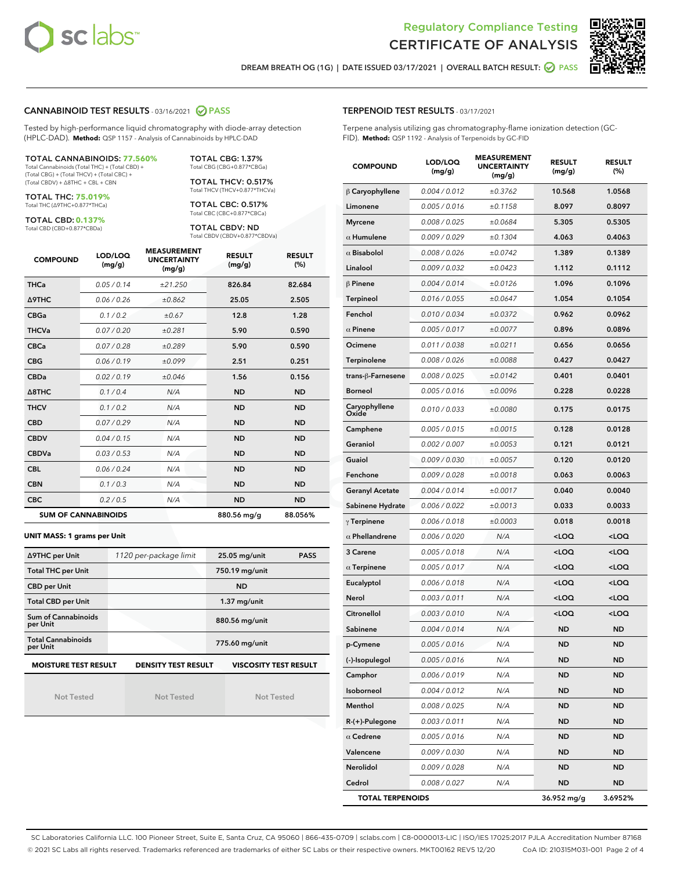



DREAM BREATH OG (1G) | DATE ISSUED 03/17/2021 | OVERALL BATCH RESULT: **○** PASS

#### CANNABINOID TEST RESULTS - 03/16/2021 2 PASS

Tested by high-performance liquid chromatography with diode-array detection (HPLC-DAD). **Method:** QSP 1157 - Analysis of Cannabinoids by HPLC-DAD

#### TOTAL CANNABINOIDS: **77.560%**

Total Cannabinoids (Total THC) + (Total CBD) + (Total CBG) + (Total THCV) + (Total CBC) + (Total CBDV) + ∆8THC + CBL + CBN

TOTAL THC: **75.019%** Total THC (∆9THC+0.877\*THCa)

TOTAL CBD: **0.137%**

Total CBD (CBD+0.877\*CBDa)

TOTAL CBG: 1.37% Total CBG (CBG+0.877\*CBGa)

TOTAL THCV: 0.517% Total THCV (THCV+0.877\*THCVa)

TOTAL CBC: 0.517% Total CBC (CBC+0.877\*CBCa)

TOTAL CBDV: ND Total CBDV (CBDV+0.877\*CBDVa)

| <b>COMPOUND</b>  | LOD/LOQ<br>(mg/g)          | <b>MEASUREMENT</b><br><b>UNCERTAINTY</b><br>(mg/g) | <b>RESULT</b><br>(mg/g) | <b>RESULT</b><br>(%) |
|------------------|----------------------------|----------------------------------------------------|-------------------------|----------------------|
| <b>THCa</b>      | 0.05/0.14                  | ±21.250                                            | 826.84                  | 82.684               |
| <b>A9THC</b>     | 0.06 / 0.26                | ±0.862                                             | 25.05                   | 2.505                |
| <b>CBGa</b>      | 0.1 / 0.2                  | ±0.67                                              | 12.8                    | 1.28                 |
| <b>THCVa</b>     | 0.07/0.20                  | ±0.281                                             | 5.90                    | 0.590                |
| <b>CBCa</b>      | 0.07 / 0.28                | ±0.289                                             | 5.90                    | 0.590                |
| <b>CBG</b>       | 0.06/0.19                  | ±0.099                                             | 2.51                    | 0.251                |
| <b>CBDa</b>      | 0.02/0.19                  | ±0.046                                             | 1.56                    | 0.156                |
| $\triangle$ 8THC | 0.1/0.4                    | N/A                                                | <b>ND</b>               | <b>ND</b>            |
| <b>THCV</b>      | 0.1 / 0.2                  | N/A                                                | <b>ND</b>               | <b>ND</b>            |
| <b>CBD</b>       | 0.07/0.29                  | N/A                                                | <b>ND</b>               | <b>ND</b>            |
| <b>CBDV</b>      | 0.04 / 0.15                | N/A                                                | <b>ND</b>               | <b>ND</b>            |
| <b>CBDVa</b>     | 0.03/0.53                  | N/A                                                | <b>ND</b>               | <b>ND</b>            |
| <b>CBL</b>       | 0.06 / 0.24                | N/A                                                | <b>ND</b>               | <b>ND</b>            |
| <b>CBN</b>       | 0.1 / 0.3                  | N/A                                                | <b>ND</b>               | <b>ND</b>            |
| <b>CBC</b>       | 0.2 / 0.5                  | N/A                                                | <b>ND</b>               | <b>ND</b>            |
|                  | <b>SUM OF CANNABINOIDS</b> |                                                    | 880.56 mg/g             | 88.056%              |

#### **UNIT MASS: 1 grams per Unit**

| ∆9THC per Unit                         | 1120 per-package limit | 25.05 mg/unit<br><b>PASS</b> |  |  |
|----------------------------------------|------------------------|------------------------------|--|--|
| <b>Total THC per Unit</b>              |                        | 750.19 mg/unit               |  |  |
| <b>CBD per Unit</b>                    |                        | <b>ND</b>                    |  |  |
| <b>Total CBD per Unit</b>              |                        | $1.37$ mg/unit               |  |  |
| <b>Sum of Cannabinoids</b><br>per Unit |                        | 880.56 mg/unit               |  |  |
| <b>Total Cannabinoids</b><br>per Unit  |                        | 775.60 mg/unit               |  |  |
| <b>MOISTURE TEST RESULT</b>            | DENSITY TEST RESULT    | <b>VISCOSITY TEST RESULT</b> |  |  |

**MOISTURE TEST RESULT**

Not Tested

Not Tested

Not Tested

#### TERPENOID TEST RESULTS - 03/17/2021

Terpene analysis utilizing gas chromatography-flame ionization detection (GC-FID). **Method:** QSP 1192 - Analysis of Terpenoids by GC-FID

| <b>COMPOUND</b>         | LOD/LOQ<br>(mg/g) | <b>MEASUREMENT</b><br><b>UNCERTAINTY</b><br>(mg/g) | <b>RESULT</b><br>(mg/g)                         | <b>RESULT</b><br>(%) |
|-------------------------|-------------------|----------------------------------------------------|-------------------------------------------------|----------------------|
| $\beta$ Caryophyllene   | 0.004 / 0.012     | ±0.3762                                            | 10.568                                          | 1.0568               |
| Limonene                | 0.005 / 0.016     | ±0.1158                                            | 8.097                                           | 0.8097               |
| <b>Myrcene</b>          | 0.008 / 0.025     | ±0.0684                                            | 5.305                                           | 0.5305               |
| $\alpha$ Humulene       | 0.009 / 0.029     | ±0.1304                                            | 4.063                                           | 0.4063               |
| $\alpha$ Bisabolol      | 0.008 / 0.026     | ±0.0742                                            | 1.389                                           | 0.1389               |
| Linalool                | 0.009 / 0.032     | ±0.0423                                            | 1.112                                           | 0.1112               |
| $\beta$ Pinene          | 0.004 / 0.014     | ±0.0126                                            | 1.096                                           | 0.1096               |
| <b>Terpineol</b>        | 0.016 / 0.055     | ±0.0647                                            | 1.054                                           | 0.1054               |
| Fenchol                 | 0.010 / 0.034     | ±0.0372                                            | 0.962                                           | 0.0962               |
| $\alpha$ Pinene         | 0.005 / 0.017     | ±0.0077                                            | 0.896                                           | 0.0896               |
| Ocimene                 | 0.011 / 0.038     | ±0.0211                                            | 0.656                                           | 0.0656               |
| Terpinolene             | 0.008 / 0.026     | ±0.0088                                            | 0.427                                           | 0.0427               |
| trans-β-Farnesene       | 0.008 / 0.025     | ±0.0142                                            | 0.401                                           | 0.0401               |
| Borneol                 | 0.005 / 0.016     | ±0.0096                                            | 0.228                                           | 0.0228               |
| Caryophyllene<br>Oxide  | 0.010 / 0.033     | ±0.0080                                            | 0.175                                           | 0.0175               |
| Camphene                | 0.005 / 0.015     | ±0.0015                                            | 0.128                                           | 0.0128               |
| Geraniol                | 0.002 / 0.007     | ±0.0053                                            | 0.121                                           | 0.0121               |
| Guaiol                  | 0.009 / 0.030     | ±0.0057                                            | 0.120                                           | 0.0120               |
| Fenchone                | 0.009 / 0.028     | ±0.0018                                            | 0.063                                           | 0.0063               |
| <b>Geranyl Acetate</b>  | 0.004 / 0.014     | ±0.0017                                            | 0.040                                           | 0.0040               |
| Sabinene Hydrate        | 0.006 / 0.022     | ±0.0013                                            | 0.033                                           | 0.0033               |
| $\gamma$ Terpinene      | 0.006 / 0.018     | ±0.0003                                            | 0.018                                           | 0.0018               |
| $\alpha$ Phellandrene   | 0.006 / 0.020     | N/A                                                | <loq< th=""><th><loq< th=""></loq<></th></loq<> | <loq< th=""></loq<>  |
| 3 Carene                | 0.005 / 0.018     | N/A                                                | <loq< th=""><th><loq< th=""></loq<></th></loq<> | <loq< th=""></loq<>  |
| $\alpha$ Terpinene      | 0.005 / 0.017     | N/A                                                | <loq< th=""><th><loq< th=""></loq<></th></loq<> | <loq< th=""></loq<>  |
| Eucalyptol              | 0.006 / 0.018     | N/A                                                | <loq< th=""><th><loq< th=""></loq<></th></loq<> | <loq< th=""></loq<>  |
| Nerol                   | 0.003 / 0.011     | N/A                                                | <loq< th=""><th><loq< th=""></loq<></th></loq<> | <loq< th=""></loq<>  |
| Citronellol             | 0.003 / 0.010     | N/A                                                | <loq< th=""><th><loq< th=""></loq<></th></loq<> | <loq< th=""></loq<>  |
| Sabinene                | 0.004 / 0.014     | N/A                                                | ND                                              | <b>ND</b>            |
| p-Cymene                | 0.005 / 0.016     | N/A                                                | <b>ND</b>                                       | <b>ND</b>            |
| (-)-Isopulegol          | 0.005 / 0.016     | N/A                                                | ND                                              | ND                   |
| Camphor                 | 0.006 / 0.019     | N/A                                                | ND                                              | ND                   |
| Isoborneol              | 0.004 / 0.012     | N/A                                                | <b>ND</b>                                       | ND                   |
| Menthol                 | 0.008 / 0.025     | N/A                                                | <b>ND</b>                                       | <b>ND</b>            |
| R-(+)-Pulegone          | 0.003 / 0.011     | N/A                                                | ND                                              | ND                   |
| $\alpha$ Cedrene        | 0.005 / 0.016     | N/A                                                | <b>ND</b>                                       | ND                   |
| Valencene               | 0.009 / 0.030     | N/A                                                | <b>ND</b>                                       | <b>ND</b>            |
| Nerolidol               | 0.009 / 0.028     | N/A                                                | ND                                              | ND                   |
| Cedrol                  | 0.008 / 0.027     | N/A                                                | <b>ND</b>                                       | ND                   |
| <b>TOTAL TERPENOIDS</b> |                   |                                                    | 36.952 mg/g                                     | 3.6952%              |

SC Laboratories California LLC. 100 Pioneer Street, Suite E, Santa Cruz, CA 95060 | 866-435-0709 | sclabs.com | C8-0000013-LIC | ISO/IES 17025:2017 PJLA Accreditation Number 87168 © 2021 SC Labs all rights reserved. Trademarks referenced are trademarks of either SC Labs or their respective owners. MKT00162 REV5 12/20 CoA ID: 210315M031-001 Page 2 of 4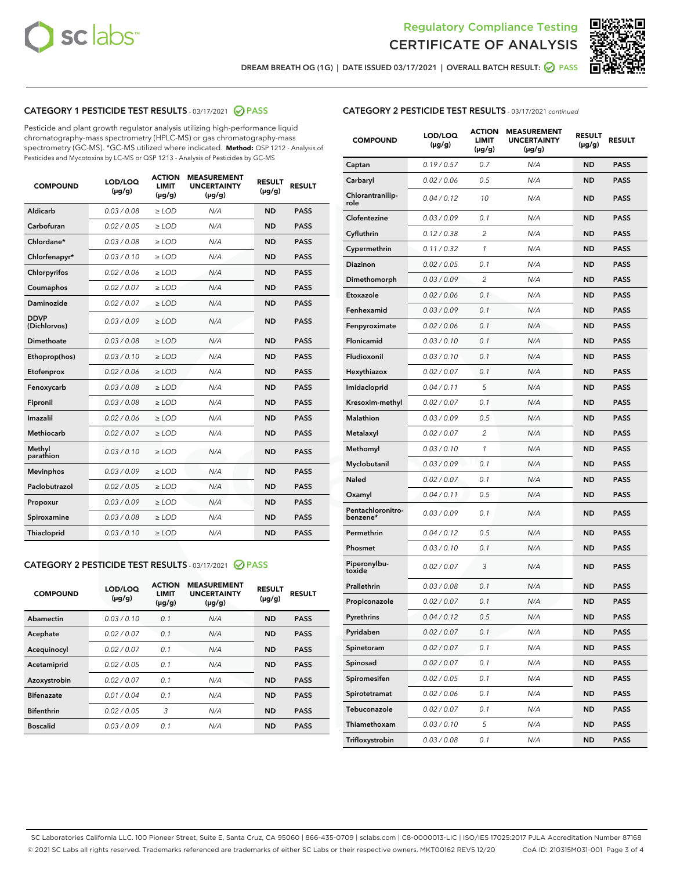



DREAM BREATH OG (1G) | DATE ISSUED 03/17/2021 | OVERALL BATCH RESULT: ☑ PASS

# CATEGORY 1 PESTICIDE TEST RESULTS - 03/17/2021 @ PASS

Pesticide and plant growth regulator analysis utilizing high-performance liquid chromatography-mass spectrometry (HPLC-MS) or gas chromatography-mass spectrometry (GC-MS). \*GC-MS utilized where indicated. **Method:** QSP 1212 - Analysis of Pesticides and Mycotoxins by LC-MS or QSP 1213 - Analysis of Pesticides by GC-MS

| <b>COMPOUND</b>             | LOD/LOQ<br>$(\mu g/g)$ | <b>ACTION</b><br><b>LIMIT</b><br>$(\mu g/g)$ | <b>MEASUREMENT</b><br><b>UNCERTAINTY</b><br>$(\mu g/g)$ | <b>RESULT</b><br>$(\mu g/g)$ | <b>RESULT</b> |
|-----------------------------|------------------------|----------------------------------------------|---------------------------------------------------------|------------------------------|---------------|
| Aldicarb                    | 0.03 / 0.08            | $\ge$ LOD                                    | N/A                                                     | <b>ND</b>                    | <b>PASS</b>   |
| Carbofuran                  | 0.02/0.05              | $>$ LOD                                      | N/A                                                     | <b>ND</b>                    | <b>PASS</b>   |
| Chlordane*                  | 0.03 / 0.08            | $\ge$ LOD                                    | N/A                                                     | <b>ND</b>                    | <b>PASS</b>   |
| Chlorfenapyr*               | 0.03/0.10              | $\ge$ LOD                                    | N/A                                                     | <b>ND</b>                    | <b>PASS</b>   |
| Chlorpyrifos                | 0.02 / 0.06            | $\ge$ LOD                                    | N/A                                                     | <b>ND</b>                    | <b>PASS</b>   |
| Coumaphos                   | 0.02/0.07              | $>$ LOD                                      | N/A                                                     | <b>ND</b>                    | <b>PASS</b>   |
| <b>Daminozide</b>           | 0.02 / 0.07            | $\ge$ LOD                                    | N/A                                                     | <b>ND</b>                    | <b>PASS</b>   |
| <b>DDVP</b><br>(Dichlorvos) | 0.03/0.09              | $\ge$ LOD                                    | N/A                                                     | <b>ND</b>                    | <b>PASS</b>   |
| <b>Dimethoate</b>           | 0.03/0.08              | $\ge$ LOD                                    | N/A                                                     | <b>ND</b>                    | <b>PASS</b>   |
| Ethoprop(hos)               | 0.03/0.10              | $\ge$ LOD                                    | N/A                                                     | <b>ND</b>                    | <b>PASS</b>   |
| Etofenprox                  | 0.02 / 0.06            | $>$ LOD                                      | N/A                                                     | <b>ND</b>                    | <b>PASS</b>   |
| Fenoxycarb                  | 0.03/0.08              | $\ge$ LOD                                    | N/A                                                     | <b>ND</b>                    | <b>PASS</b>   |
| Fipronil                    | 0.03/0.08              | $>$ LOD                                      | N/A                                                     | <b>ND</b>                    | <b>PASS</b>   |
| Imazalil                    | 0.02 / 0.06            | $\ge$ LOD                                    | N/A                                                     | <b>ND</b>                    | <b>PASS</b>   |
| Methiocarb                  | 0.02 / 0.07            | $\ge$ LOD                                    | N/A                                                     | <b>ND</b>                    | <b>PASS</b>   |
| Methyl<br>parathion         | 0.03/0.10              | $>$ LOD                                      | N/A                                                     | <b>ND</b>                    | <b>PASS</b>   |
| <b>Mevinphos</b>            | 0.03/0.09              | $>$ LOD                                      | N/A                                                     | <b>ND</b>                    | <b>PASS</b>   |
| Paclobutrazol               | 0.02 / 0.05            | $\ge$ LOD                                    | N/A                                                     | <b>ND</b>                    | <b>PASS</b>   |
| Propoxur                    | 0.03/0.09              | $>$ LOD                                      | N/A                                                     | <b>ND</b>                    | <b>PASS</b>   |
| Spiroxamine                 | 0.03 / 0.08            | $\ge$ LOD                                    | N/A                                                     | <b>ND</b>                    | <b>PASS</b>   |
| Thiacloprid                 | 0.03/0.10              | $\ge$ LOD                                    | N/A                                                     | <b>ND</b>                    | <b>PASS</b>   |

#### CATEGORY 2 PESTICIDE TEST RESULTS - 03/17/2021 @ PASS

| <b>COMPOUND</b>   | LOD/LOQ<br>$(\mu g/g)$ | <b>ACTION</b><br><b>LIMIT</b><br>$(\mu g/g)$ | <b>MEASUREMENT</b><br><b>UNCERTAINTY</b><br>$(\mu g/g)$ | <b>RESULT</b><br>$(\mu g/g)$ | <b>RESULT</b> |
|-------------------|------------------------|----------------------------------------------|---------------------------------------------------------|------------------------------|---------------|
| Abamectin         | 0.03/0.10              | 0.1                                          | N/A                                                     | <b>ND</b>                    | <b>PASS</b>   |
| Acephate          | 0.02/0.07              | 0.1                                          | N/A                                                     | <b>ND</b>                    | <b>PASS</b>   |
| Acequinocyl       | 0.02/0.07              | 0.1                                          | N/A                                                     | <b>ND</b>                    | <b>PASS</b>   |
| Acetamiprid       | 0.02/0.05              | 0.1                                          | N/A                                                     | <b>ND</b>                    | <b>PASS</b>   |
| Azoxystrobin      | 0.02/0.07              | 0.1                                          | N/A                                                     | <b>ND</b>                    | <b>PASS</b>   |
| <b>Bifenazate</b> | 0.01/0.04              | 0.1                                          | N/A                                                     | <b>ND</b>                    | <b>PASS</b>   |
| <b>Bifenthrin</b> | 0.02/0.05              | 3                                            | N/A                                                     | <b>ND</b>                    | <b>PASS</b>   |
| <b>Boscalid</b>   | 0.03/0.09              | 0.1                                          | N/A                                                     | <b>ND</b>                    | <b>PASS</b>   |

| <b>CATEGORY 2 PESTICIDE TEST RESULTS</b> - 03/17/2021 continued |
|-----------------------------------------------------------------|
|-----------------------------------------------------------------|

| <b>COMPOUND</b>               | LOD/LOQ<br>(µg/g) | <b>ACTION</b><br>LIMIT<br>(µg/g) | <b>MEASUREMENT</b><br><b>UNCERTAINTY</b><br>(µg/g) | <b>RESULT</b><br>(µg/g) | <b>RESULT</b> |
|-------------------------------|-------------------|----------------------------------|----------------------------------------------------|-------------------------|---------------|
| Captan                        | 0.19 / 0.57       | 0.7                              | N/A                                                | <b>ND</b>               | <b>PASS</b>   |
| Carbaryl                      | 0.02 / 0.06       | 0.5                              | N/A                                                | <b>ND</b>               | <b>PASS</b>   |
| Chlorantranilip-<br>role      | 0.04 / 0.12       | 10                               | N/A                                                | <b>ND</b>               | <b>PASS</b>   |
| Clofentezine                  | 0.03 / 0.09       | 0.1                              | N/A                                                | <b>ND</b>               | <b>PASS</b>   |
| Cyfluthrin                    | 0.12 / 0.38       | 2                                | N/A                                                | ND                      | <b>PASS</b>   |
| Cypermethrin                  | 0.11/0.32         | 1                                | N/A                                                | ND                      | <b>PASS</b>   |
| <b>Diazinon</b>               | 0.02 / 0.05       | 0.1                              | N/A                                                | <b>ND</b>               | <b>PASS</b>   |
| Dimethomorph                  | 0.03 / 0.09       | 2                                | N/A                                                | ND                      | <b>PASS</b>   |
| Etoxazole                     | 0.02 / 0.06       | 0.1                              | N/A                                                | ND                      | <b>PASS</b>   |
| Fenhexamid                    | 0.03/0.09         | 0.1                              | N/A                                                | <b>ND</b>               | <b>PASS</b>   |
| Fenpyroximate                 | 0.02 / 0.06       | 0.1                              | N/A                                                | ND                      | <b>PASS</b>   |
| Flonicamid                    | 0.03 / 0.10       | 0.1                              | N/A                                                | ND                      | <b>PASS</b>   |
| Fludioxonil                   | 0.03/0.10         | 0.1                              | N/A                                                | <b>ND</b>               | PASS          |
| Hexythiazox                   | 0.02 / 0.07       | 0.1                              | N/A                                                | ND                      | <b>PASS</b>   |
| Imidacloprid                  | 0.04 / 0.11       | 5                                | N/A                                                | ND                      | <b>PASS</b>   |
| Kresoxim-methyl               | 0.02 / 0.07       | 0.1                              | N/A                                                | <b>ND</b>               | <b>PASS</b>   |
| <b>Malathion</b>              | 0.03/0.09         | 0.5                              | N/A                                                | ND                      | <b>PASS</b>   |
| Metalaxyl                     | 0.02 / 0.07       | 2                                | N/A                                                | ND                      | <b>PASS</b>   |
| Methomyl                      | 0.03/0.10         | 1                                | N/A                                                | <b>ND</b>               | PASS          |
| Myclobutanil                  | 0.03 / 0.09       | 0.1                              | N/A                                                | ND                      | <b>PASS</b>   |
| Naled                         | 0.02 / 0.07       | 0.1                              | N/A                                                | ND                      | PASS          |
| Oxamyl                        | 0.04 / 0.11       | 0.5                              | N/A                                                | <b>ND</b>               | PASS          |
| Pentachloronitro-<br>benzene* | 0.03 / 0.09       | 0.1                              | N/A                                                | ND                      | PASS          |
| Permethrin                    | 0.04 / 0.12       | 0.5                              | N/A                                                | ND                      | <b>PASS</b>   |
| Phosmet                       | 0.03/0.10         | 0.1                              | N/A                                                | <b>ND</b>               | <b>PASS</b>   |
| Piperonylbu-<br>toxide        | 0.02 / 0.07       | 3                                | N/A                                                | ND                      | <b>PASS</b>   |
| Prallethrin                   | 0.03 / 0.08       | 0.1                              | N/A                                                | ND                      | <b>PASS</b>   |
| Propiconazole                 | 0.02 / 0.07       | 0.1                              | N/A                                                | ND                      | <b>PASS</b>   |
| Pyrethrins                    | 0.04 / 0.12       | 0.5                              | N/A                                                | ND                      | PASS          |
| Pyridaben                     | 0.02 / 0.07       | 0.1                              | N/A                                                | ND                      | PASS          |
| Spinetoram                    | 0.02 / 0.07       | 0.1                              | N/A                                                | ND                      | <b>PASS</b>   |
| Spinosad                      | 0.02 / 0.07       | 0.1                              | N/A                                                | ND                      | <b>PASS</b>   |
| Spiromesifen                  | 0.02 / 0.05       | 0.1                              | N/A                                                | ND                      | <b>PASS</b>   |
| Spirotetramat                 | 0.02 / 0.06       | 0.1                              | N/A                                                | <b>ND</b>               | <b>PASS</b>   |
| Tebuconazole                  | 0.02 / 0.07       | 0.1                              | N/A                                                | ND                      | <b>PASS</b>   |
| Thiamethoxam                  | 0.03 / 0.10       | 5                                | N/A                                                | <b>ND</b>               | <b>PASS</b>   |
| Trifloxystrobin               | 0.03 / 0.08       | 0.1                              | N/A                                                | ND                      | <b>PASS</b>   |